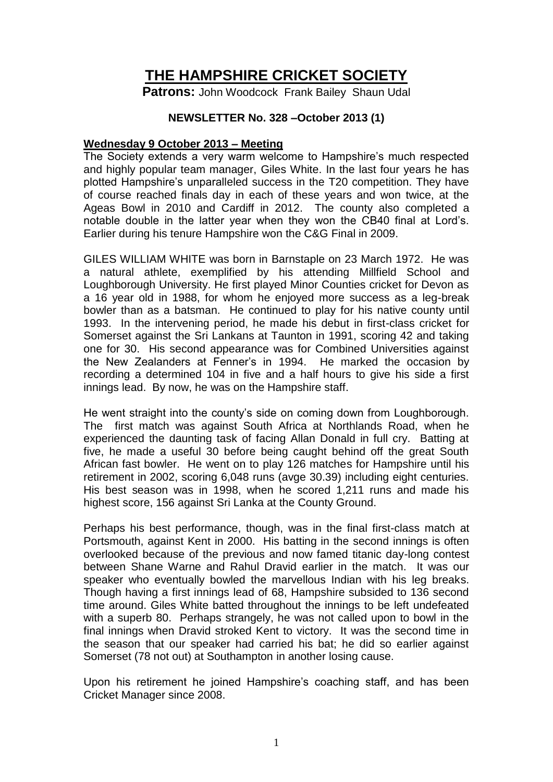# **THE HAMPSHIRE CRICKET SOCIETY**

**Patrons:** John Woodcock Frank Bailey Shaun Udal

## **NEWSLETTER No. 328 –October 2013 (1)**

#### **Wednesday 9 October 2013 – Meeting**

The Society extends a very warm welcome to Hampshire's much respected and highly popular team manager, Giles White. In the last four years he has plotted Hampshire's unparalleled success in the T20 competition. They have of course reached finals day in each of these years and won twice, at the Ageas Bowl in 2010 and Cardiff in 2012. The county also completed a notable double in the latter year when they won the CB40 final at Lord's. Earlier during his tenure Hampshire won the C&G Final in 2009.

GILES WILLIAM WHITE was born in Barnstaple on 23 March 1972. He was a natural athlete, exemplified by his attending Millfield School and Loughborough University. He first played Minor Counties cricket for Devon as a 16 year old in 1988, for whom he enjoyed more success as a leg-break bowler than as a batsman. He continued to play for his native county until 1993. In the intervening period, he made his debut in first-class cricket for Somerset against the Sri Lankans at Taunton in 1991, scoring 42 and taking one for 30. His second appearance was for Combined Universities against the New Zealanders at Fenner's in 1994. He marked the occasion by recording a determined 104 in five and a half hours to give his side a first innings lead. By now, he was on the Hampshire staff.

He went straight into the county's side on coming down from Loughborough. The first match was against South Africa at Northlands Road, when he experienced the daunting task of facing Allan Donald in full cry. Batting at five, he made a useful 30 before being caught behind off the great South African fast bowler. He went on to play 126 matches for Hampshire until his retirement in 2002, scoring 6,048 runs (avge 30.39) including eight centuries. His best season was in 1998, when he scored 1,211 runs and made his highest score, 156 against Sri Lanka at the County Ground.

Perhaps his best performance, though, was in the final first-class match at Portsmouth, against Kent in 2000. His batting in the second innings is often overlooked because of the previous and now famed titanic day-long contest between Shane Warne and Rahul Dravid earlier in the match. It was our speaker who eventually bowled the marvellous Indian with his leg breaks. Though having a first innings lead of 68, Hampshire subsided to 136 second time around. Giles White batted throughout the innings to be left undefeated with a superb 80. Perhaps strangely, he was not called upon to bowl in the final innings when Dravid stroked Kent to victory. It was the second time in the season that our speaker had carried his bat; he did so earlier against Somerset (78 not out) at Southampton in another losing cause.

Upon his retirement he joined Hampshire's coaching staff, and has been Cricket Manager since 2008.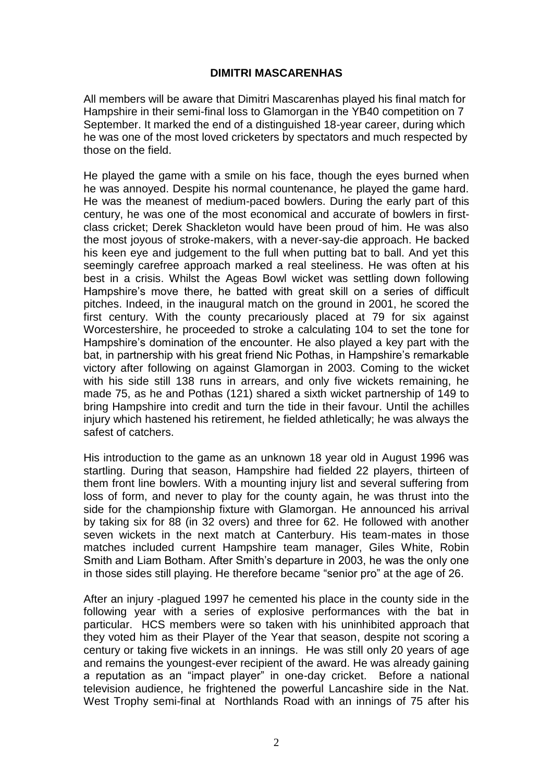## **DIMITRI MASCARENHAS**

All members will be aware that Dimitri Mascarenhas played his final match for Hampshire in their semi-final loss to Glamorgan in the YB40 competition on 7 September. It marked the end of a distinguished 18-year career, during which he was one of the most loved cricketers by spectators and much respected by those on the field.

He played the game with a smile on his face, though the eyes burned when he was annoyed. Despite his normal countenance, he played the game hard. He was the meanest of medium-paced bowlers. During the early part of this century, he was one of the most economical and accurate of bowlers in firstclass cricket; Derek Shackleton would have been proud of him. He was also the most joyous of stroke-makers, with a never-say-die approach. He backed his keen eye and judgement to the full when putting bat to ball. And yet this seemingly carefree approach marked a real steeliness. He was often at his best in a crisis. Whilst the Ageas Bowl wicket was settling down following Hampshire's move there, he batted with great skill on a series of difficult pitches. Indeed, in the inaugural match on the ground in 2001, he scored the first century. With the county precariously placed at 79 for six against Worcestershire, he proceeded to stroke a calculating 104 to set the tone for Hampshire's domination of the encounter. He also played a key part with the bat, in partnership with his great friend Nic Pothas, in Hampshire's remarkable victory after following on against Glamorgan in 2003. Coming to the wicket with his side still 138 runs in arrears, and only five wickets remaining, he made 75, as he and Pothas (121) shared a sixth wicket partnership of 149 to bring Hampshire into credit and turn the tide in their favour. Until the achilles injury which hastened his retirement, he fielded athletically; he was always the safest of catchers.

His introduction to the game as an unknown 18 year old in August 1996 was startling. During that season, Hampshire had fielded 22 players, thirteen of them front line bowlers. With a mounting injury list and several suffering from loss of form, and never to play for the county again, he was thrust into the side for the championship fixture with Glamorgan. He announced his arrival by taking six for 88 (in 32 overs) and three for 62. He followed with another seven wickets in the next match at Canterbury. His team-mates in those matches included current Hampshire team manager, Giles White, Robin Smith and Liam Botham. After Smith's departure in 2003, he was the only one in those sides still playing. He therefore became "senior pro" at the age of 26.

After an injury -plagued 1997 he cemented his place in the county side in the following year with a series of explosive performances with the bat in particular. HCS members were so taken with his uninhibited approach that they voted him as their Player of the Year that season, despite not scoring a century or taking five wickets in an innings. He was still only 20 years of age and remains the youngest-ever recipient of the award. He was already gaining a reputation as an "impact player" in one-day cricket. Before a national television audience, he frightened the powerful Lancashire side in the Nat. West Trophy semi-final at Northlands Road with an innings of 75 after his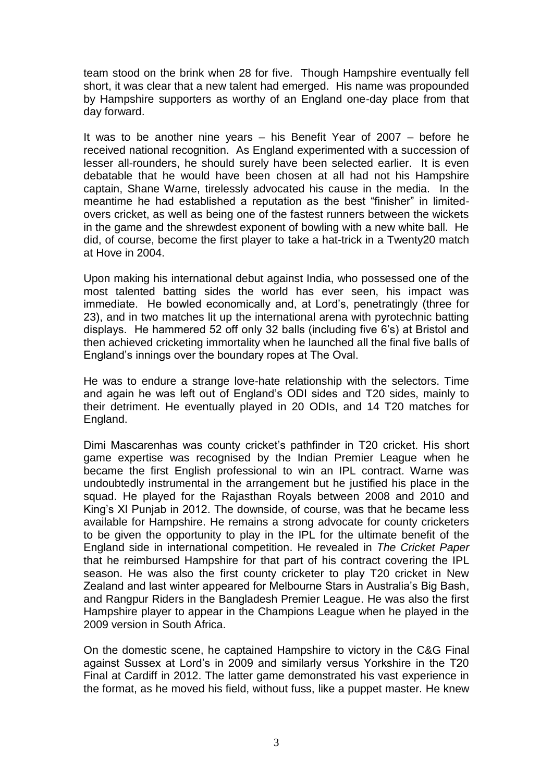team stood on the brink when 28 for five. Though Hampshire eventually fell short, it was clear that a new talent had emerged. His name was propounded by Hampshire supporters as worthy of an England one-day place from that day forward.

It was to be another nine years – his Benefit Year of 2007 – before he received national recognition. As England experimented with a succession of lesser all-rounders, he should surely have been selected earlier. It is even debatable that he would have been chosen at all had not his Hampshire captain, Shane Warne, tirelessly advocated his cause in the media. In the meantime he had established a reputation as the best "finisher" in limitedovers cricket, as well as being one of the fastest runners between the wickets in the game and the shrewdest exponent of bowling with a new white ball. He did, of course, become the first player to take a hat-trick in a Twenty20 match at Hove in 2004.

Upon making his international debut against India, who possessed one of the most talented batting sides the world has ever seen, his impact was immediate. He bowled economically and, at Lord's, penetratingly (three for 23), and in two matches lit up the international arena with pyrotechnic batting displays. He hammered 52 off only 32 balls (including five 6's) at Bristol and then achieved cricketing immortality when he launched all the final five balls of England's innings over the boundary ropes at The Oval.

He was to endure a strange love-hate relationship with the selectors. Time and again he was left out of England's ODI sides and T20 sides, mainly to their detriment. He eventually played in 20 ODIs, and 14 T20 matches for England.

Dimi Mascarenhas was county cricket's pathfinder in T20 cricket. His short game expertise was recognised by the Indian Premier League when he became the first English professional to win an IPL contract. Warne was undoubtedly instrumental in the arrangement but he justified his place in the squad. He played for the Rajasthan Royals between 2008 and 2010 and King's XI Punjab in 2012. The downside, of course, was that he became less available for Hampshire. He remains a strong advocate for county cricketers to be given the opportunity to play in the IPL for the ultimate benefit of the England side in international competition. He revealed in *The Cricket Paper*  that he reimbursed Hampshire for that part of his contract covering the IPL season. He was also the first county cricketer to play T20 cricket in New Zealand and last winter appeared for Melbourne Stars in Australia's Big Bash, and Rangpur Riders in the Bangladesh Premier League. He was also the first Hampshire player to appear in the Champions League when he played in the 2009 version in South Africa.

On the domestic scene, he captained Hampshire to victory in the C&G Final against Sussex at Lord's in 2009 and similarly versus Yorkshire in the T20 Final at Cardiff in 2012. The latter game demonstrated his vast experience in the format, as he moved his field, without fuss, like a puppet master. He knew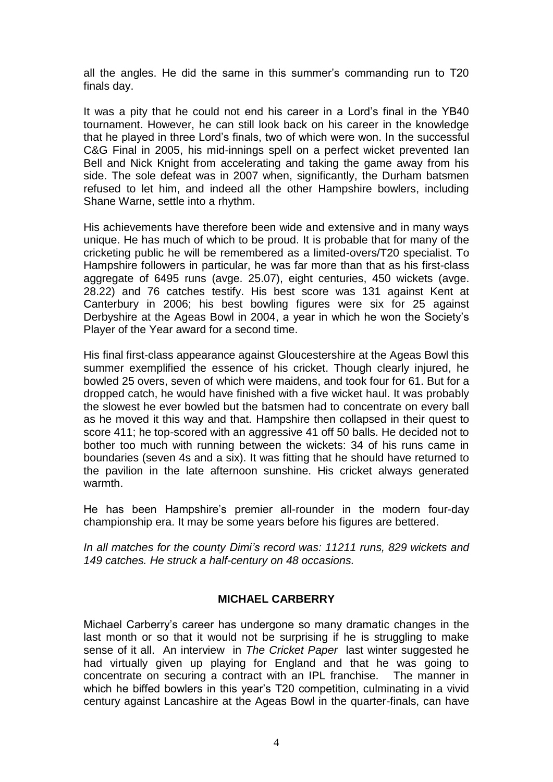all the angles. He did the same in this summer's commanding run to T20 finals day.

It was a pity that he could not end his career in a Lord's final in the YB40 tournament. However, he can still look back on his career in the knowledge that he played in three Lord's finals, two of which were won. In the successful C&G Final in 2005, his mid-innings spell on a perfect wicket prevented Ian Bell and Nick Knight from accelerating and taking the game away from his side. The sole defeat was in 2007 when, significantly, the Durham batsmen refused to let him, and indeed all the other Hampshire bowlers, including Shane Warne, settle into a rhythm.

His achievements have therefore been wide and extensive and in many ways unique. He has much of which to be proud. It is probable that for many of the cricketing public he will be remembered as a limited-overs/T20 specialist. To Hampshire followers in particular, he was far more than that as his first-class aggregate of 6495 runs (avge. 25.07), eight centuries, 450 wickets (avge. 28.22) and 76 catches testify. His best score was 131 against Kent at Canterbury in 2006; his best bowling figures were six for 25 against Derbyshire at the Ageas Bowl in 2004, a year in which he won the Society's Player of the Year award for a second time.

His final first-class appearance against Gloucestershire at the Ageas Bowl this summer exemplified the essence of his cricket. Though clearly injured, he bowled 25 overs, seven of which were maidens, and took four for 61. But for a dropped catch, he would have finished with a five wicket haul. It was probably the slowest he ever bowled but the batsmen had to concentrate on every ball as he moved it this way and that. Hampshire then collapsed in their quest to score 411; he top-scored with an aggressive 41 off 50 balls. He decided not to bother too much with running between the wickets: 34 of his runs came in boundaries (seven 4s and a six). It was fitting that he should have returned to the pavilion in the late afternoon sunshine. His cricket always generated warmth.

He has been Hampshire's premier all-rounder in the modern four-day championship era. It may be some years before his figures are bettered.

*In all matches for the county Dimi's record was: 11211 runs, 829 wickets and 149 catches. He struck a half-century on 48 occasions.*

## **MICHAEL CARBERRY**

Michael Carberry's career has undergone so many dramatic changes in the last month or so that it would not be surprising if he is struggling to make sense of it all. An interview in *The Cricket Paper* last winter suggested he had virtually given up playing for England and that he was going to concentrate on securing a contract with an IPL franchise. The manner in which he biffed bowlers in this year's T20 competition, culminating in a vivid century against Lancashire at the Ageas Bowl in the quarter-finals, can have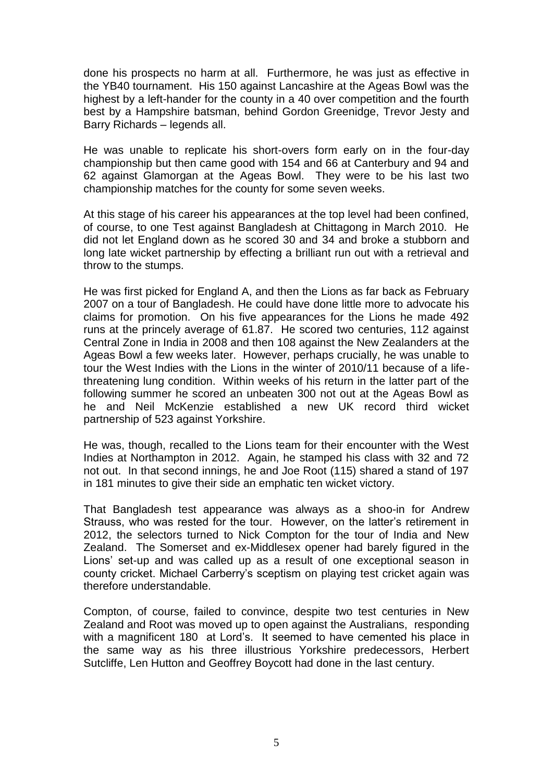done his prospects no harm at all. Furthermore, he was just as effective in the YB40 tournament. His 150 against Lancashire at the Ageas Bowl was the highest by a left-hander for the county in a 40 over competition and the fourth best by a Hampshire batsman, behind Gordon Greenidge, Trevor Jesty and Barry Richards – legends all.

He was unable to replicate his short-overs form early on in the four-day championship but then came good with 154 and 66 at Canterbury and 94 and 62 against Glamorgan at the Ageas Bowl. They were to be his last two championship matches for the county for some seven weeks.

At this stage of his career his appearances at the top level had been confined, of course, to one Test against Bangladesh at Chittagong in March 2010. He did not let England down as he scored 30 and 34 and broke a stubborn and long late wicket partnership by effecting a brilliant run out with a retrieval and throw to the stumps.

He was first picked for England A, and then the Lions as far back as February 2007 on a tour of Bangladesh. He could have done little more to advocate his claims for promotion. On his five appearances for the Lions he made 492 runs at the princely average of 61.87. He scored two centuries, 112 against Central Zone in India in 2008 and then 108 against the New Zealanders at the Ageas Bowl a few weeks later. However, perhaps crucially, he was unable to tour the West Indies with the Lions in the winter of 2010/11 because of a lifethreatening lung condition. Within weeks of his return in the latter part of the following summer he scored an unbeaten 300 not out at the Ageas Bowl as he and Neil McKenzie established a new UK record third wicket partnership of 523 against Yorkshire.

He was, though, recalled to the Lions team for their encounter with the West Indies at Northampton in 2012. Again, he stamped his class with 32 and 72 not out. In that second innings, he and Joe Root (115) shared a stand of 197 in 181 minutes to give their side an emphatic ten wicket victory.

That Bangladesh test appearance was always as a shoo-in for Andrew Strauss, who was rested for the tour. However, on the latter's retirement in 2012, the selectors turned to Nick Compton for the tour of India and New Zealand. The Somerset and ex-Middlesex opener had barely figured in the Lions' set-up and was called up as a result of one exceptional season in county cricket. Michael Carberry's sceptism on playing test cricket again was therefore understandable.

Compton, of course, failed to convince, despite two test centuries in New Zealand and Root was moved up to open against the Australians, responding with a magnificent 180 at Lord's. It seemed to have cemented his place in the same way as his three illustrious Yorkshire predecessors, Herbert Sutcliffe, Len Hutton and Geoffrey Boycott had done in the last century.